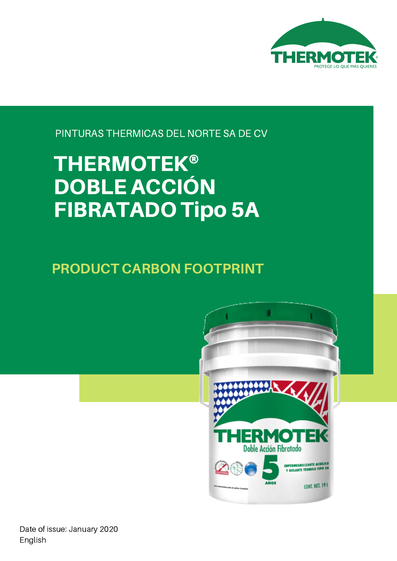

PINTURAS THERMICAS DEL NORTE SA DE CV

# THERMOTEK® DOBLE ACCIÓN FIBRATADO Tipo 5A

PRODUCT CARBON FOOTPRINT



Date of issue: January 2020 English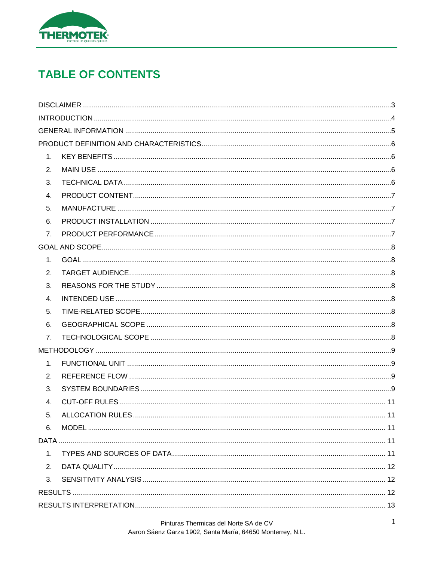

# **TABLE OF CONTENTS**

| 1.             |  |
|----------------|--|
| 2.             |  |
| 3.             |  |
| 4.             |  |
| 5.             |  |
| 6.             |  |
| 7.             |  |
|                |  |
| 1.             |  |
| 2.             |  |
| 3.             |  |
| $\mathbf{4}$ . |  |
| 5.             |  |
| 6.             |  |
| 7.             |  |
|                |  |
| 1.             |  |
| 2.             |  |
| 3.             |  |
| 4.             |  |
| 5.             |  |
| 6.             |  |
|                |  |
| 1.             |  |
| 2.             |  |
| 3.             |  |
|                |  |
|                |  |
|                |  |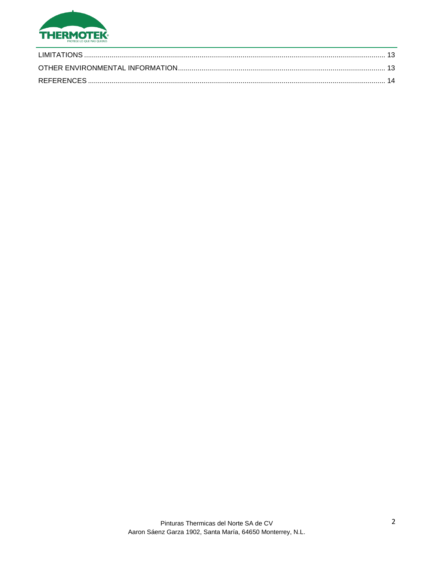

| LIMITATIONS |  |
|-------------|--|
|             |  |
|             |  |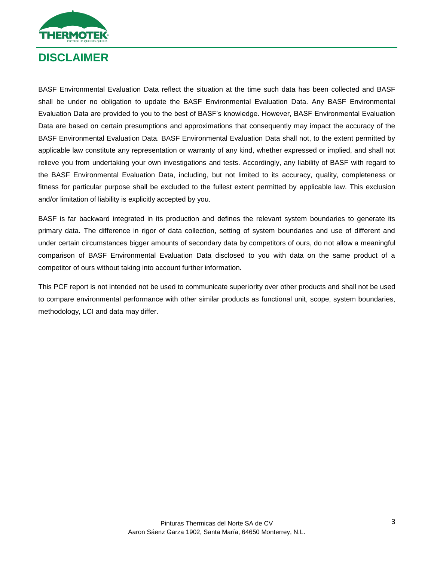

# <span id="page-3-0"></span>**DISCLAIMER**

BASF Environmental Evaluation Data reflect the situation at the time such data has been collected and BASF shall be under no obligation to update the BASF Environmental Evaluation Data. Any BASF Environmental Evaluation Data are provided to you to the best of BASF's knowledge. However, BASF Environmental Evaluation Data are based on certain presumptions and approximations that consequently may impact the accuracy of the BASF Environmental Evaluation Data. BASF Environmental Evaluation Data shall not, to the extent permitted by applicable law constitute any representation or warranty of any kind, whether expressed or implied, and shall not relieve you from undertaking your own investigations and tests. Accordingly, any liability of BASF with regard to the BASF Environmental Evaluation Data, including, but not limited to its accuracy, quality, completeness or fitness for particular purpose shall be excluded to the fullest extent permitted by applicable law. This exclusion and/or limitation of liability is explicitly accepted by you.

BASF is far backward integrated in its production and defines the relevant system boundaries to generate its primary data. The difference in rigor of data collection, setting of system boundaries and use of different and under certain circumstances bigger amounts of secondary data by competitors of ours, do not allow a meaningful comparison of BASF Environmental Evaluation Data disclosed to you with data on the same product of a competitor of ours without taking into account further information.

This PCF report is not intended not be used to communicate superiority over other products and shall not be used to compare environmental performance with other similar products as functional unit, scope, system boundaries, methodology, LCI and data may differ.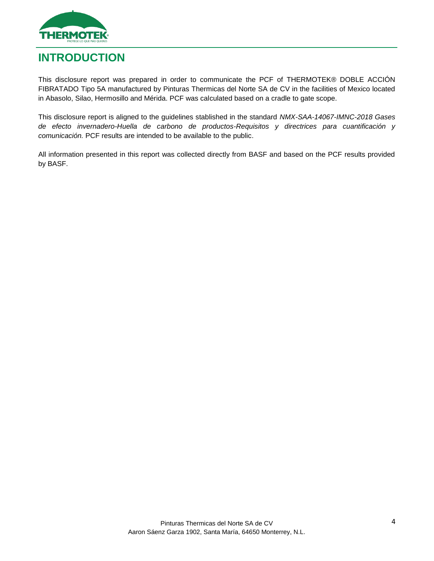

# <span id="page-4-0"></span>**INTRODUCTION**

This disclosure report was prepared in order to communicate the PCF of THERMOTEK® DOBLE ACCIÓN FIBRATADO Tipo 5A manufactured by Pinturas Thermicas del Norte SA de CV in the facilities of Mexico located in Abasolo, Silao, Hermosillo and Mérida. PCF was calculated based on a cradle to gate scope.

This disclosure report is aligned to the guidelines stablished in the standard *NMX-SAA-14067-IMNC-2018 Gases de efecto invernadero-Huella de carbono de productos-Requisitos y directrices para cuantificación y comunicación.* PCF results are intended to be available to the public.

All information presented in this report was collected directly from BASF and based on the PCF results provided by BASF.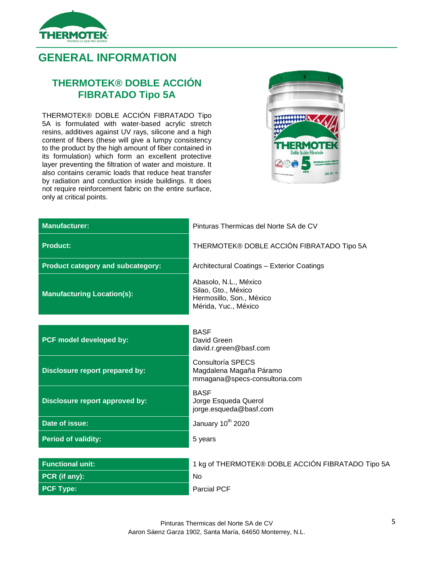

# <span id="page-5-0"></span>**GENERAL INFORMATION**

#### **THERMOTEK® DOBLE ACCIÓN FIBRATADO Tipo 5A**

THERMOTEK® DOBLE ACCIÓN FIBRATADO Tipo 5A is formulated with water-based acrylic stretch resins, additives against UV rays, silicone and a high content of fibers (these will give a lumpy consistency to the product by the high amount of fiber contained in its formulation) which form an excellent protective layer preventing the filtration of water and moisture. It also contains ceramic loads that reduce heat transfer by radiation and conduction inside buildings. It does not require reinforcement fabric on the entire surface, only at critical points.



| <b>Manufacturer:</b>                     | Pinturas Thermicas del Norte SA de CV                                                            |
|------------------------------------------|--------------------------------------------------------------------------------------------------|
| <b>Product:</b>                          | THERMOTEK® DOBLE ACCIÓN FIBRATADO Tipo 5A                                                        |
| <b>Product category and subcategory:</b> | Architectural Coatings - Exterior Coatings                                                       |
| <b>Manufacturing Location(s):</b>        | Abasolo, N.L., México<br>Silao, Gto., México<br>Hermosillo, Son., México<br>Mérida, Yuc., México |
| PCF model developed by:                  | <b>BASF</b><br>David Green<br>david.r.green@basf.com                                             |
| Disclosure report prepared by:           | Consultoría SPECS<br>Magdalena Magaña Páramo<br>mmagana@specs-consultoria.com                    |
| Disclosure report approved by:           | <b>BASF</b><br>Jorge Esqueda Querol<br>jorge.esqueda@basf.com                                    |
| Date of issue:                           | January 10 <sup>th</sup> 2020                                                                    |
| <b>Period of validity:</b>               | 5 years                                                                                          |
|                                          |                                                                                                  |
| <b>Functional unit:</b>                  | 1 kg of THERMOTEK® DOBLE ACCIÓN FIBRATADO Tipo 5A                                                |
| PCR (if any):                            | No                                                                                               |
| <b>PCF Type:</b>                         | <b>Parcial PCF</b>                                                                               |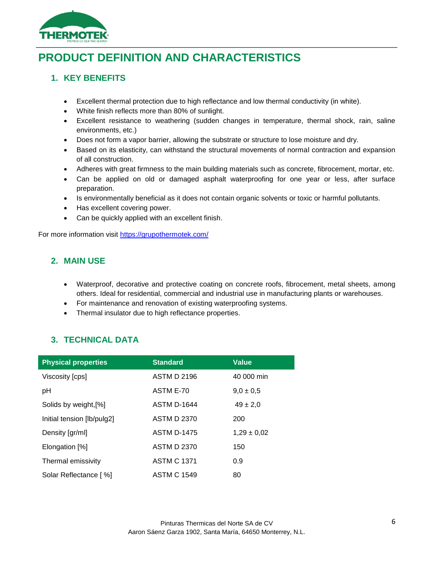

# <span id="page-6-0"></span>**PRODUCT DEFINITION AND CHARACTERISTICS**

#### <span id="page-6-1"></span>**1. KEY BENEFITS**

- Excellent thermal protection due to high reflectance and low thermal conductivity (in white).
- White finish reflects more than 80% of sunlight.
- Excellent resistance to weathering (sudden changes in temperature, thermal shock, rain, saline environments, etc.)
- Does not form a vapor barrier, allowing the substrate or structure to lose moisture and dry.
- Based on its elasticity, can withstand the structural movements of normal contraction and expansion of all construction.
- Adheres with great firmness to the main building materials such as concrete, fibrocement, mortar, etc.
- Can be applied on old or damaged asphalt waterproofing for one year or less, after surface preparation.
- Is environmentally beneficial as it does not contain organic solvents or toxic or harmful pollutants.
- Has excellent covering power.
- <span id="page-6-2"></span>Can be quickly applied with an excellent finish.

For more information visit<https://grupothermotek.com/>

#### **2. MAIN USE**

- Waterproof, decorative and protective coating on concrete roofs, fibrocement, metal sheets, among others. Ideal for residential, commercial and industrial use in manufacturing plants or warehouses.
- For maintenance and renovation of existing waterproofing systems.
- Thermal insulator due to high reflectance properties.

#### <span id="page-6-3"></span>**3. TECHNICAL DATA**

| <b>Physical properties</b> | <b>Standard</b>    | <b>Value</b>    |
|----------------------------|--------------------|-----------------|
| Viscosity [cps]            | <b>ASTM D 2196</b> | 40 000 min      |
| pH                         | ASTM E-70          | $9.0 \pm 0.5$   |
| Solids by weight, [%]      | <b>ASTM D-1644</b> | $49 \pm 2,0$    |
| Initial tension [lb/pulg2] | <b>ASTM D 2370</b> | 200             |
| Density [gr/ml]            | <b>ASTM D-1475</b> | $1,29 \pm 0,02$ |
| Elongation [%]             | <b>ASTM D 2370</b> | 150             |
| Thermal emissivity         | <b>ASTM C 1371</b> | 0.9             |
| Solar Reflectance [%]      | <b>ASTM C 1549</b> | 80              |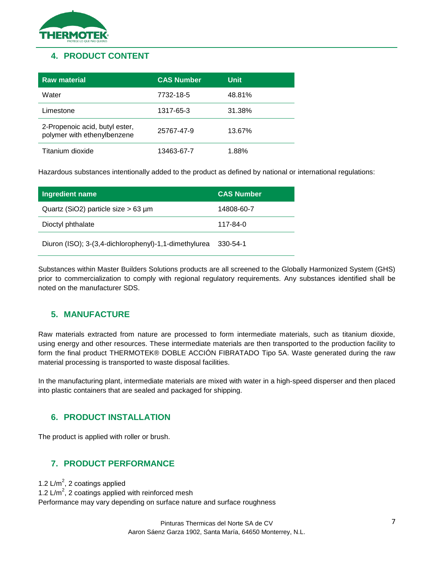

#### <span id="page-7-0"></span>**4. PRODUCT CONTENT**

| <b>Raw material</b>                                           | <b>CAS Number</b> | Unit   |
|---------------------------------------------------------------|-------------------|--------|
| Water                                                         | 7732-18-5         | 48.81% |
| Limestone                                                     | 1317-65-3         | 31.38% |
| 2-Propenoic acid, butyl ester,<br>polymer with ethenylbenzene | 25767-47-9        | 13.67% |
| Titanium dioxide                                              | 13463-67-7        | 1.88%  |

Hazardous substances intentionally added to the product as defined by national or international regulations:

| Ingredient name                                       | <b>CAS Number</b> |
|-------------------------------------------------------|-------------------|
| Quartz (SiO2) particle size $> 63 \mu m$              | 14808-60-7        |
| Dioctyl phthalate                                     | 117-84-0          |
| Diuron (ISO); 3-(3,4-dichlorophenyl)-1,1-dimethylurea | 330-54-1          |

Substances within Master Builders Solutions products are all screened to the Globally Harmonized System (GHS) prior to commercialization to comply with regional regulatory requirements. Any substances identified shall be noted on the manufacturer SDS.

#### <span id="page-7-1"></span>**5. MANUFACTURE**

Raw materials extracted from nature are processed to form intermediate materials, such as titanium dioxide, using energy and other resources. These intermediate materials are then transported to the production facility to form the final product THERMOTEK® DOBLE ACCIÓN FIBRATADO Tipo 5A. Waste generated during the raw material processing is transported to waste disposal facilities.

In the manufacturing plant, intermediate materials are mixed with water in a high-speed disperser and then placed into plastic containers that are sealed and packaged for shipping.

#### <span id="page-7-2"></span>**6. PRODUCT INSTALLATION**

The product is applied with roller or brush.

#### <span id="page-7-3"></span>**7. PRODUCT PERFORMANCE**

1.2  $L/m^2$ , 2 coatings applied 1.2  $\text{L/m}^2$ , 2 coatings applied with reinforced mesh Performance may vary depending on surface nature and surface roughness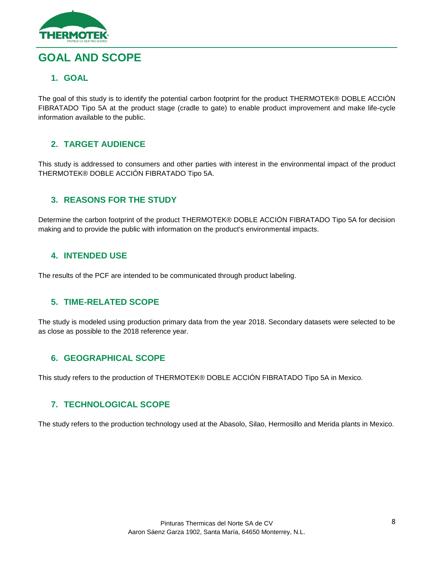

# <span id="page-8-1"></span><span id="page-8-0"></span>**GOAL AND SCOPE**

#### **1. GOAL**

The goal of this study is to identify the potential carbon footprint for the product THERMOTEK® DOBLE ACCIÓN FIBRATADO Tipo 5A at the product stage (cradle to gate) to enable product improvement and make life-cycle information available to the public.

#### <span id="page-8-2"></span>**2. TARGET AUDIENCE**

This study is addressed to consumers and other parties with interest in the environmental impact of the product THERMOTEK® DOBLE ACCIÓN FIBRATADO Tipo 5A.

#### <span id="page-8-3"></span>**3. REASONS FOR THE STUDY**

Determine the carbon footprint of the product THERMOTEK® DOBLE ACCIÓN FIBRATADO Tipo 5A for decision making and to provide the public with information on the product's environmental impacts.

#### <span id="page-8-4"></span>**4. INTENDED USE**

The results of the PCF are intended to be communicated through product labeling.

#### <span id="page-8-5"></span>**5. TIME-RELATED SCOPE**

The study is modeled using production primary data from the year 2018. Secondary datasets were selected to be as close as possible to the 2018 reference year.

#### <span id="page-8-6"></span>**6. GEOGRAPHICAL SCOPE**

This study refers to the production of THERMOTEK® DOBLE ACCIÓN FIBRATADO Tipo 5A in Mexico.

#### <span id="page-8-7"></span>**7. TECHNOLOGICAL SCOPE**

The study refers to the production technology used at the Abasolo, Silao, Hermosillo and Merida plants in Mexico.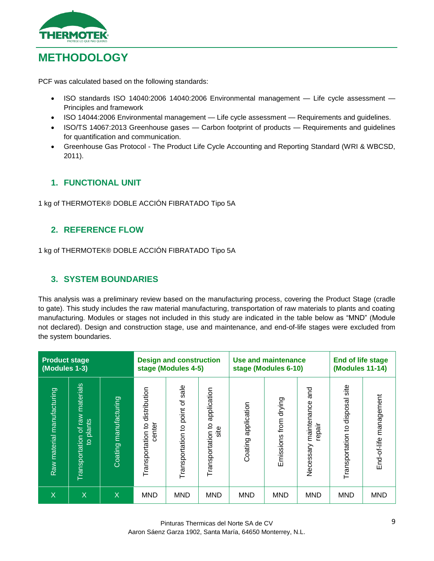

# <span id="page-9-0"></span>**METHODOLOGY**

PCF was calculated based on the following standards:

- ISO standards ISO 14040:2006 14040:2006 Environmental management Life cycle assessment Principles and framework
- ISO 14044:2006 Environmental management Life cycle assessment Requirements and guidelines.
- ISO/TS 14067:2013 Greenhouse gases Carbon footprint of products Requirements and guidelines for quantification and communication.
- Greenhouse Gas Protocol The Product Life Cycle Accounting and Reporting Standard (WRI & WBCSD, 2011).

#### <span id="page-9-1"></span>**1. FUNCTIONAL UNIT**

1 kg of THERMOTEK® DOBLE ACCIÓN FIBRATADO Tipo 5A

#### <span id="page-9-2"></span>**2. REFERENCE FLOW**

1 kg of THERMOTEK® DOBLE ACCIÓN FIBRATADO Tipo 5A

#### <span id="page-9-3"></span>**3. SYSTEM BOUNDARIES**

This analysis was a preliminary review based on the manufacturing process, covering the Product Stage (cradle to gate). This study includes the raw material manufacturing, transportation of raw materials to plants and coating manufacturing. Modules or stages not included in this study are indicated in the table below as "MND" (Module not declared). Design and construction stage, use and maintenance, and end-of-life stages were excluded from the system boundaries.

| <b>Product stage</b><br>(Modules 1-3) |                                                                       | <b>Design and construction</b><br>stage (Modules 4-5) |                                          |                                    | <b>Use and maintenance</b><br>stage (Modules 6-10)      |                        |                       | <b>End of life stage</b><br><b>(Modules 11-14)</b> |                                    |                        |
|---------------------------------------|-----------------------------------------------------------------------|-------------------------------------------------------|------------------------------------------|------------------------------------|---------------------------------------------------------|------------------------|-----------------------|----------------------------------------------------|------------------------------------|------------------------|
| Raw material manufacturing            | materials<br>I WBJ<br>plants<br>৳<br>Transportation<br>$\overline{5}$ | Coating manufacturing                                 | Transportation to distribution<br>center | sale<br>Transportation to point of | application<br>$\overline{5}$<br>site<br>Transportation | application<br>Coating | Emissions from drying | pue<br>maintenance<br>repair<br>Necessary          | site<br>Transportation to disposal | End-of-life management |
| X                                     | X                                                                     | X                                                     | <b>MND</b>                               | <b>MND</b>                         | <b>MND</b>                                              | <b>MND</b>             | <b>MND</b>            | <b>MND</b>                                         | <b>MND</b>                         | <b>MND</b>             |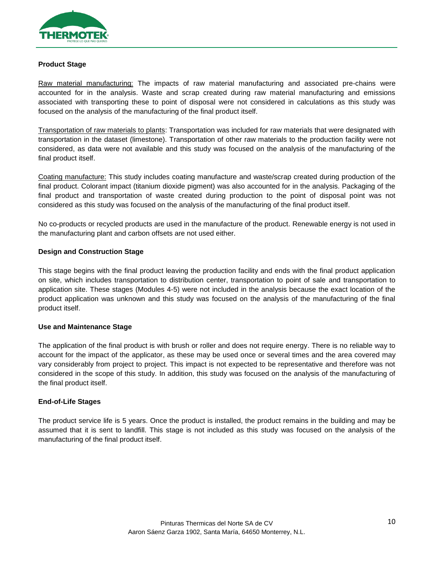

#### **Product Stage**

Raw material manufacturing: The impacts of raw material manufacturing and associated pre-chains were accounted for in the analysis. Waste and scrap created during raw material manufacturing and emissions associated with transporting these to point of disposal were not considered in calculations as this study was focused on the analysis of the manufacturing of the final product itself.

Transportation of raw materials to plants: Transportation was included for raw materials that were designated with transportation in the dataset (limestone). Transportation of other raw materials to the production facility were not considered, as data were not available and this study was focused on the analysis of the manufacturing of the final product itself.

Coating manufacture: This study includes coating manufacture and waste/scrap created during production of the final product. Colorant impact (titanium dioxide pigment) was also accounted for in the analysis. Packaging of the final product and transportation of waste created during production to the point of disposal point was not considered as this study was focused on the analysis of the manufacturing of the final product itself.

No co-products or recycled products are used in the manufacture of the product. Renewable energy is not used in the manufacturing plant and carbon offsets are not used either.

#### **Design and Construction Stage**

This stage begins with the final product leaving the production facility and ends with the final product application on site, which includes transportation to distribution center, transportation to point of sale and transportation to application site. These stages (Modules 4-5) were not included in the analysis because the exact location of the product application was unknown and this study was focused on the analysis of the manufacturing of the final product itself.

#### **Use and Maintenance Stage**

The application of the final product is with brush or roller and does not require energy. There is no reliable way to account for the impact of the applicator, as these may be used once or several times and the area covered may vary considerably from project to project. This impact is not expected to be representative and therefore was not considered in the scope of this study. In addition, this study was focused on the analysis of the manufacturing of the final product itself.

#### **End-of-Life Stages**

The product service life is 5 years. Once the product is installed, the product remains in the building and may be assumed that it is sent to landfill. This stage is not included as this study was focused on the analysis of the manufacturing of the final product itself.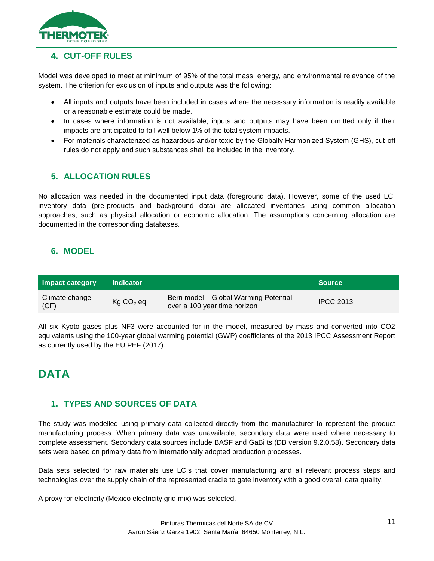

#### <span id="page-11-0"></span>**4. CUT-OFF RULES**

Model was developed to meet at minimum of 95% of the total mass, energy, and environmental relevance of the system. The criterion for exclusion of inputs and outputs was the following:

- All inputs and outputs have been included in cases where the necessary information is readily available or a reasonable estimate could be made.
- In cases where information is not available, inputs and outputs may have been omitted only if their impacts are anticipated to fall well below 1% of the total system impacts.
- For materials characterized as hazardous and/or toxic by the Globally Harmonized System (GHS), cut-off rules do not apply and such substances shall be included in the inventory.

#### <span id="page-11-1"></span>**5. ALLOCATION RULES**

No allocation was needed in the documented input data (foreground data). However, some of the used LCI inventory data (pre-products and background data) are allocated inventories using common allocation approaches, such as physical allocation or economic allocation. The assumptions concerning allocation are documented in the corresponding databases.

#### <span id="page-11-2"></span>**6. MODEL**

| Impact category        | <b>Indicator</b>      |                                                                       | <b>Source</b> '  |
|------------------------|-----------------------|-----------------------------------------------------------------------|------------------|
| Climate change<br>(CF) | Kg CO <sub>2</sub> eq | Bern model - Global Warming Potential<br>over a 100 year time horizon | <b>IPCC 2013</b> |

All six Kyoto gases plus NF3 were accounted for in the model, measured by mass and converted into CO2 equivalents using the 100-year global warming potential (GWP) coefficients of the 2013 IPCC Assessment Report as currently used by the EU PEF (2017).

### <span id="page-11-3"></span>**DATA**

#### <span id="page-11-4"></span>**1. TYPES AND SOURCES OF DATA**

The study was modelled using primary data collected directly from the manufacturer to represent the product manufacturing process. When primary data was unavailable, secondary data were used where necessary to complete assessment. Secondary data sources include BASF and GaBi ts (DB version 9.2.0.58). Secondary data sets were based on primary data from internationally adopted production processes.

Data sets selected for raw materials use LCIs that cover manufacturing and all relevant process steps and technologies over the supply chain of the represented cradle to gate inventory with a good overall data quality.

A proxy for electricity (Mexico electricity grid mix) was selected.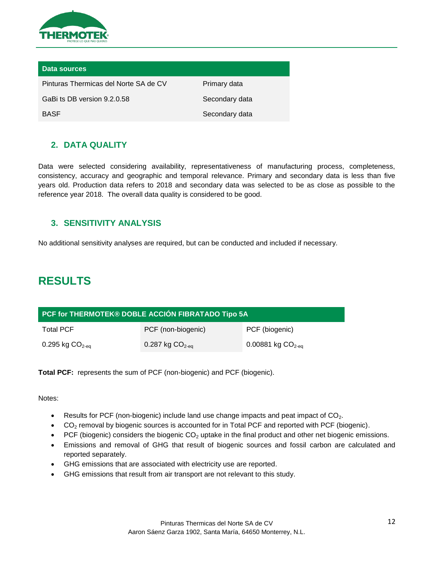

| Data sources                          |                |
|---------------------------------------|----------------|
| Pinturas Thermicas del Norte SA de CV | Primary data   |
| GaBi ts DB version 9.2.0.58           | Secondary data |
| <b>BASE</b>                           | Secondary data |

#### <span id="page-12-0"></span>**2. DATA QUALITY**

Data were selected considering availability, representativeness of manufacturing process, completeness, consistency, accuracy and geographic and temporal relevance. Primary and secondary data is less than five years old. Production data refers to 2018 and secondary data was selected to be as close as possible to the reference year 2018. The overall data quality is considered to be good.

#### <span id="page-12-1"></span>**3. SENSITIVITY ANALYSIS**

No additional sensitivity analyses are required, but can be conducted and included if necessary.

### <span id="page-12-2"></span>**RESULTS**

| PCF for THERMOTEK® DOBLE ACCIÓN FIBRATADO Tipo 5A |                    |                     |  |  |
|---------------------------------------------------|--------------------|---------------------|--|--|
| <b>Total PCF</b>                                  | PCF (non-biogenic) | PCF (biogenic)      |  |  |
| 0.295 kg $CO2-ea$                                 | 0.287 kg $CO2-ea$  | 0.00881 kg $CO2-eq$ |  |  |

**Total PCF:** represents the sum of PCF (non-biogenic) and PCF (biogenic).

Notes:

- **•** Results for PCF (non-biogenic) include land use change impacts and peat impact of  $CO<sub>2</sub>$ .
- $\bullet$  CO<sub>2</sub> removal by biogenic sources is accounted for in Total PCF and reported with PCF (biogenic).
- PCF (biogenic) considers the biogenic  $CO<sub>2</sub>$  uptake in the final product and other net biogenic emissions.
- Emissions and removal of GHG that result of biogenic sources and fossil carbon are calculated and reported separately.
- GHG emissions that are associated with electricity use are reported.
- GHG emissions that result from air transport are not relevant to this study.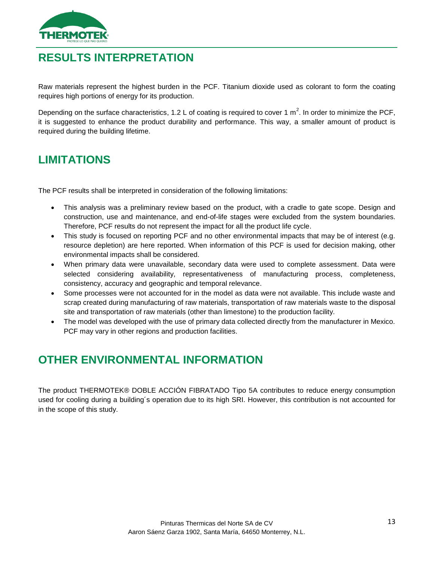

# <span id="page-13-0"></span>**RESULTS INTERPRETATION**

Raw materials represent the highest burden in the PCF. Titanium dioxide used as colorant to form the coating requires high portions of energy for its production.

Depending on the surface characteristics, 1.2 L of coating is required to cover 1 m<sup>2</sup>. In order to minimize the PCF, it is suggested to enhance the product durability and performance. This way, a smaller amount of product is required during the building lifetime.

# <span id="page-13-1"></span>**LIMITATIONS**

The PCF results shall be interpreted in consideration of the following limitations:

- This analysis was a preliminary review based on the product, with a cradle to gate scope. Design and construction, use and maintenance, and end-of-life stages were excluded from the system boundaries. Therefore, PCF results do not represent the impact for all the product life cycle.
- This study is focused on reporting PCF and no other environmental impacts that may be of interest (e.g. resource depletion) are here reported. When information of this PCF is used for decision making, other environmental impacts shall be considered.
- When primary data were unavailable, secondary data were used to complete assessment. Data were selected considering availability, representativeness of manufacturing process, completeness, consistency, accuracy and geographic and temporal relevance.
- Some processes were not accounted for in the model as data were not available. This include waste and scrap created during manufacturing of raw materials, transportation of raw materials waste to the disposal site and transportation of raw materials (other than limestone) to the production facility.
- The model was developed with the use of primary data collected directly from the manufacturer in Mexico. PCF may vary in other regions and production facilities.

# <span id="page-13-2"></span>**OTHER ENVIRONMENTAL INFORMATION**

The product THERMOTEK® DOBLE ACCIÓN FIBRATADO Tipo 5A contributes to reduce energy consumption used for cooling during a building´s operation due to its high SRI. However, this contribution is not accounted for in the scope of this study.